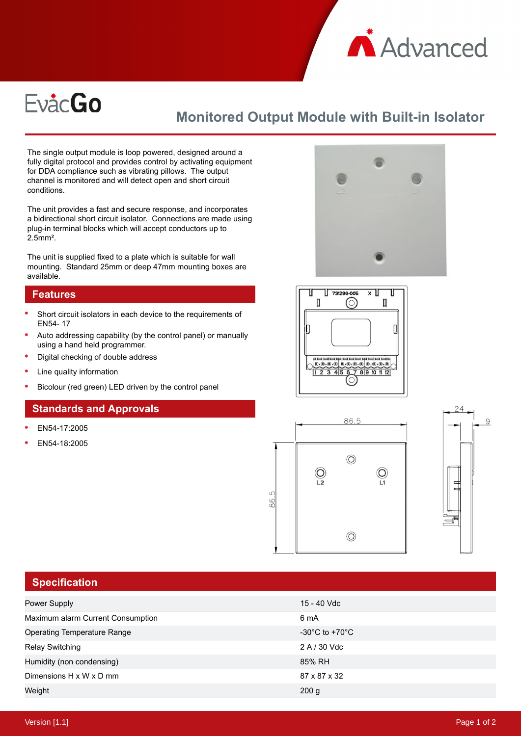

# **EvåcGo**

## **Monitored Output Module with Built-in Isolator**

The single output module is loop powered, designed around a fully digital protocol and provides control by activating equipment for DDA compliance such as vibrating pillows. The output channel is monitored and will detect open and short circuit conditions.

The unit provides a fast and secure response, and incorporates a bidirectional short circuit isolator. Connections are made using plug-in terminal blocks which will accept conductors up to 2.5mm².

The unit is supplied fixed to a plate which is suitable for wall mounting. Standard 25mm or deep 47mm mounting boxes are available.

#### **Features**

- $\bullet$ Short circuit isolators in each device to the requirements of EN54- 17
- Auto addressing capability (by the control panel) or manually using a hand held programmer.
- Digital checking of double address
- Line quality information
- Bicolour (red green) LED driven by the control panel

#### **Standards and Approvals**

- EN54-17:2005
- EN54-18:2005









| <b>Specification</b>              |                                    |
|-----------------------------------|------------------------------------|
| <b>Power Supply</b>               | 15 - 40 Vdc                        |
| Maximum alarm Current Consumption | 6 mA                               |
| Operating Temperature Range       | $-30^{\circ}$ C to $+70^{\circ}$ C |
| <b>Relay Switching</b>            | 2 A / 30 Vdc                       |
| Humidity (non condensing)         | 85% RH                             |
| Dimensions H x W x D mm           | 87 x 87 x 32                       |
| Weight                            | 200 g                              |